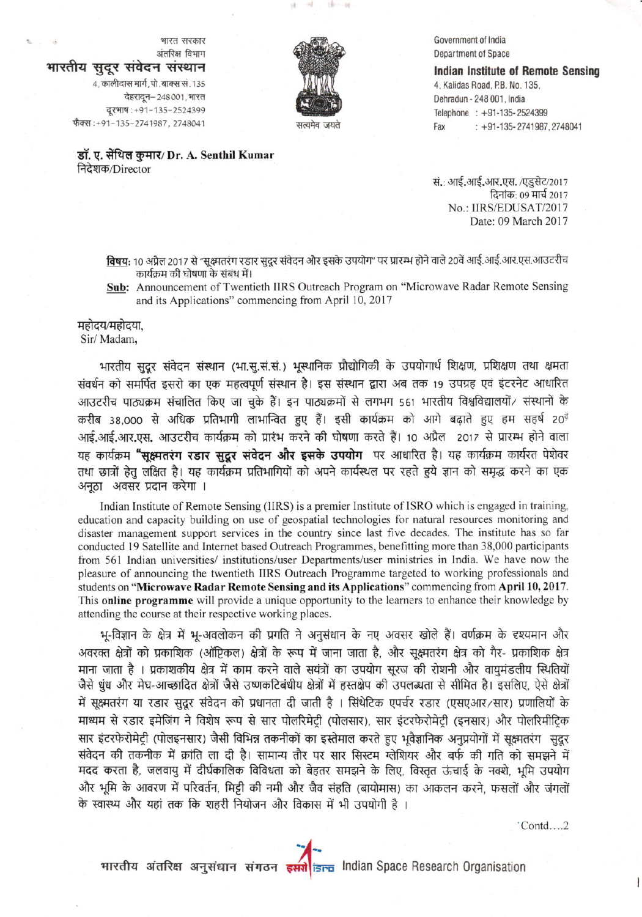

Government of India Department of Space

**Indian Institute of Remote Sensing** 4, Kalidas Road, P.B. No. 135, Dehradun - 248 001, India Telephone : +91-135-2524399  $: +91-135-2741987.2748041$ Fax

डॉ. ए. सेंथिल कुमार/ Dr. A. Senthil Kumar निदेशक/Director

वेहरादून-248001, भारत

वूरभाष: +91-135-2524399

भारतीय सुदूर संवेदन संस्थान

4, कालीदास मार्ग, पो. बाक्स सं. 135

फैक्स:+91-135-2741987, 2748041

भारत सरकार

अंतरिक्ष विभाग

सं.: आई.आई.आर.एस. /एडुसेट/2017 दिनांक: 09 मार्च 2017 No.: IIRS/EDUSAT/2017 Date: 09 March 2017

विषय: 10 अप्रैल 2017 से "सूक्ष्मतरंग रडार सुदूर संवेदन और इसके उपयोग" पर प्रारम्भ होने वाले 20वें आई.आई.आर.एस.आउटरीच कार्यक्रम की घोषणा के संबंध में।

Sub: Announcement of Twentieth IIRS Outreach Program on "Microwave Radar Remote Sensing and its Applications" commencing from April 10, 2017

## महोदय/महोदया.

Sir/Madam,

भारतीय सुदूर संवेदन संस्थान (भा.सू.सं.सं.) भूस्थानिक प्रौद्योगिकी के उपयोगार्थ शिक्षण, प्रशिक्षण तथा क्षमता संवर्धन को समर्पित इसरो का एक महत्वपूर्ण संस्थान है। इस संस्थान द्वारा अब तक 19 उपग्रह एवं इंटरनेट आधारित आउटरीच पाठ्यक्रम संचालित किए जा चुके हैं। इन पाठ्यक्रमों से लगभग 561 भारतीय विश्वविद्यालयों/ संस्थानों के करीब 38,000 से अधिक प्रतिभागी लाभान्वित हुए हैं। इसी कार्यक्रम को आगे बढ़ाते हुए हम सहर्ष 20<sup>वें</sup> आई.आई.आर.एस. आउटरीच कार्यक्रम को प्रारंभ करने की घोषणा करते हैं। 10 अप्रैल 2017 से प्रारम्भ होने वाला यह कार्यक्रम "सुक्ष्मतरंग रडार सुद्धर संवेदन और इसके उपयोग पर आधारित है। यह कार्यक्रम कार्यरत पेशेवर तथा छात्रों हेतु लक्षित है। यह कार्यक्रम प्रतिभागियों को अपने कार्यस्थल पर रहते हुये ज्ञान को समृद्ध करने का एक अनूठा अवसर प्रदान करेगा ।

Indian Institute of Remote Sensing (IIRS) is a premier Institute of ISRO which is engaged in training, education and capacity building on use of geospatial technologies for natural resources monitoring and disaster management support services in the country since last five decades. The institute has so far conducted 19 Satellite and Internet based Outreach Programmes, benefitting more than 38,000 participants from 561 Indian universities/ institutions/user Departments/user ministries in India. We have now the pleasure of announcing the twentieth IIRS Outreach Programme targeted to working professionals and students on "Microwave Radar Remote Sensing and its Applications" commencing from April 10, 2017. This **online programme** will provide a unique opportunity to the learners to enhance their knowledge by attending the course at their respective working places.

भू-विज्ञान के क्षेत्र में भू-अवलोकन की प्रगति ने अनुसंधान के नए अवसर खोले हैं। वर्णक्रम के दृश्यमान और अवरक्त क्षेत्रों को प्रकाशिक (ऑप्टिकल) क्षेत्रों के रूप में जाना जाता है. और सक्ष्मतरंग क्षेत्र को गैर- प्रकाशिक क्षेत्र माना जाता है । प्रकाशकीय क्षेत्र में काम करने वाले सयंत्रों का उपयोग सुरज की रोशनी और वायुमंडलीय स्थितियों जैसे धुंध और मेघ-आच्छादित क्षेत्रों जैसे उष्णकटिबंधीय क्षेत्रों में हस्तक्षेप की उपलब्धता से सीमित है। इसलिए, ऐसे क्षेत्रों में सुक्ष्मतरंग या रडार सुदूर संवेदन को प्रधानता दी जाती है । सिंथेटिक एपर्चर रडार (एसएआर/सार) प्रणालियों के माध्यम से रडार इमेजिंग ने विशेष रूप से सार पोलरिमेटी (पोलसार), सार इंटरफेरोमेटी (इनसार) और पोलरिमीटिक सार इंटरफेरोमेट्री (पोलइनसार) जैसी विभिन्न तकनीकों का इस्तेमाल करते हुए भूवैज्ञानिक अनुप्रयोगों में सूक्ष्मतरंग सुदूर संवेदन की तकनीक में क्रांति ला दी है। सामान्य तौर पर सार सिस्टम ग्लेशियर और बर्फ की गति को समझने में मदद करता है, जलवायु में दीर्घकालिक विविधता को बेहतर समझने के लिए, विस्तृत ऊंचाई के नक्शे, भूमि उपयोग और भूमि के आवरण में परिवर्तन, मिट्टी की नमी और जैव संहति (बायोमास) का आकलन करने, फसलों और जंगलों के स्वास्थ्य और यहां तक कि शहरी नियोजन और विकास में भी उपयोगी है ।

 $'Contd...2$ 

भारतीय अंतरिक्ष अनुसंधान संगठन इसरी isra Indian Space Research Organisation